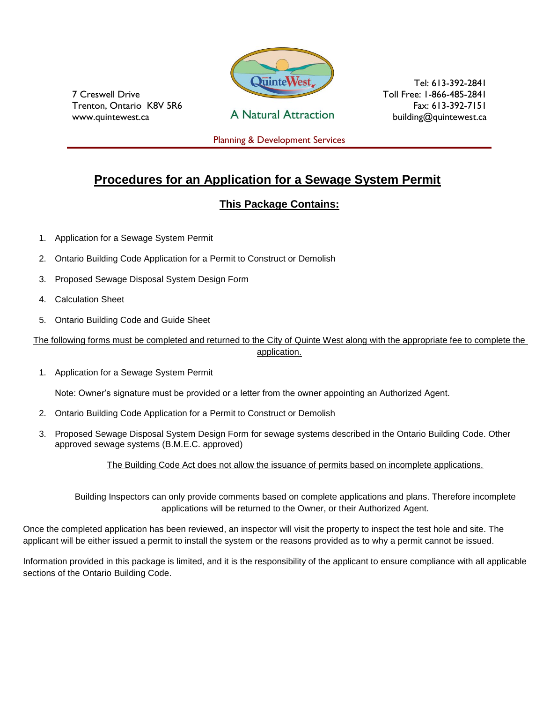

7 Creswell Drive Trenton, Ontario K8V 5R6 www.quintewest.ca

**A Natural Attraction** 

Tel: 613-392-2841 Toll Free: 1-866-485-2841 Fax: 613-392-7151 building@quintewest.ca

Planning & Development Services

# **Procedures for an Application for a Sewage System Permit**

### **This Package Contains:**

- 1. Application for a Sewage System Permit
- 2. Ontario Building Code Application for a Permit to Construct or Demolish
- 3. Proposed Sewage Disposal System Design Form
- 4. Calculation Sheet
- 5. Ontario Building Code and Guide Sheet

The following forms must be completed and returned to the City of Quinte West along with the appropriate fee to complete the application.

1. Application for a Sewage System Permit

Note: Owner's signature must be provided or a letter from the owner appointing an Authorized Agent.

- 2. Ontario Building Code Application for a Permit to Construct or Demolish
- 3. Proposed Sewage Disposal System Design Form for sewage systems described in the Ontario Building Code. Other approved sewage systems (B.M.E.C. approved)

The Building Code Act does not allow the issuance of permits based on incomplete applications.

Building Inspectors can only provide comments based on complete applications and plans. Therefore incomplete applications will be returned to the Owner, or their Authorized Agent.

Once the completed application has been reviewed, an inspector will visit the property to inspect the test hole and site. The applicant will be either issued a permit to install the system or the reasons provided as to why a permit cannot be issued.

Information provided in this package is limited, and it is the responsibility of the applicant to ensure compliance with all applicable sections of the Ontario Building Code.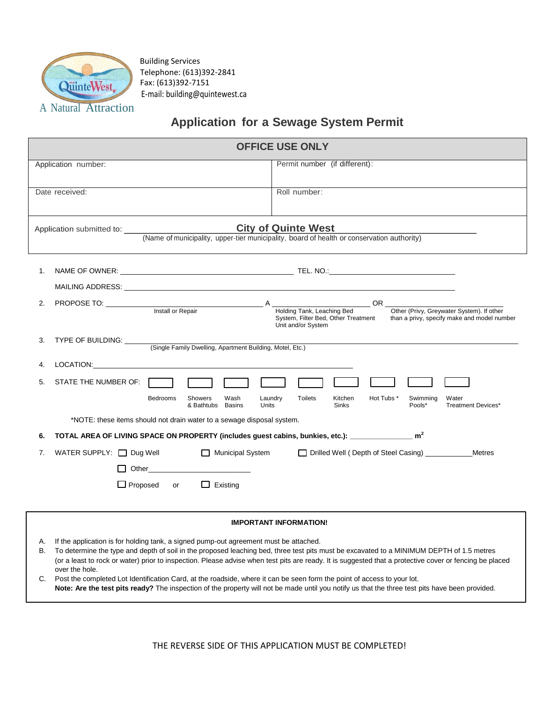

Building Services Telephone: (613)392-2841 Fax: (613)392-7151 E-mail: building@quintewest.ca

# **Application for a Sewage System Permit**

|                                                                                                                                                                                 |                                                                                                                 | <b>OFFICE USE ONLY</b>                                                                                                                                                                       |  |  |
|---------------------------------------------------------------------------------------------------------------------------------------------------------------------------------|-----------------------------------------------------------------------------------------------------------------|----------------------------------------------------------------------------------------------------------------------------------------------------------------------------------------------|--|--|
|                                                                                                                                                                                 | Application number:                                                                                             | Permit number (if different):                                                                                                                                                                |  |  |
|                                                                                                                                                                                 | Date received:                                                                                                  | Roll number:                                                                                                                                                                                 |  |  |
| <b>City of Quinte West</b><br>Application submitted to: Application submitted to:<br>(Name of municipality, upper-tier municipality, board of health or conservation authority) |                                                                                                                 |                                                                                                                                                                                              |  |  |
| 1.                                                                                                                                                                              |                                                                                                                 |                                                                                                                                                                                              |  |  |
| 2.                                                                                                                                                                              | PROPOSE TO: Install or Repair A Holding Tank, Le                                                                | $OR_$<br>Other (Privy, Greywater System). If other<br>Holding Tank, Leaching Bed<br>System, Filter Bed, Other Treatment<br>than a privy, specify make and model number<br>Unit and/or System |  |  |
| 3.                                                                                                                                                                              | TYPE OF BUILDING: _______<br>(Single Family Dwelling, Apartment Building, Motel, Etc.)                          |                                                                                                                                                                                              |  |  |
| 4.                                                                                                                                                                              | <b>LOCATION: Example 2020</b>                                                                                   |                                                                                                                                                                                              |  |  |
| 5.                                                                                                                                                                              | STATE THE NUMBER OF:                                                                                            |                                                                                                                                                                                              |  |  |
|                                                                                                                                                                                 | <b>Bedrooms</b><br>Showers<br>Wash<br>& Bathtubs<br><b>Basins</b>                                               | <b>Toilets</b><br>Hot Tubs *<br>Laundry<br>Kitchen<br>Swimming<br>Water<br>Units<br><b>Sinks</b><br>Pools*<br>Treatment Devices*                                                             |  |  |
|                                                                                                                                                                                 | *NOTE: these items should not drain water to a sewage disposal system.                                          |                                                                                                                                                                                              |  |  |
| 6.                                                                                                                                                                              | TOTAL AREA OF LIVING SPACE ON PROPERTY (includes guest cabins, bunkies, etc.): _________________ m <sup>2</sup> |                                                                                                                                                                                              |  |  |
| 7.                                                                                                                                                                              | WATER SUPPLY: $\Box$ Dug Well<br>Municipal System                                                               | Drilled Well (Depth of Steel Casing)<br>Metres                                                                                                                                               |  |  |
|                                                                                                                                                                                 | Other                                                                                                           |                                                                                                                                                                                              |  |  |
|                                                                                                                                                                                 | $\Box$ Proposed<br>$\Box$ Existing<br>or                                                                        |                                                                                                                                                                                              |  |  |

#### **IMPORTANT INFORMATION!**

- A. If the application is for holding tank, a signed pump-out agreement must be attached.
- B. To determine the type and depth of soil in the proposed leaching bed, three test pits must be excavated to a MINIMUM DEPTH of 1.5 metres (or a least to rock or water) prior to inspection. Please advise when test pits are ready. It is suggested that a protective cover or fencing be placed over the hole.
- C. Post the completed Lot Identification Card, at the roadside, where it can be seen form the point of access to your lot. **Note: Are the test pits ready?** The inspection of the property will not be made until you notify us that the three test pits have been provided.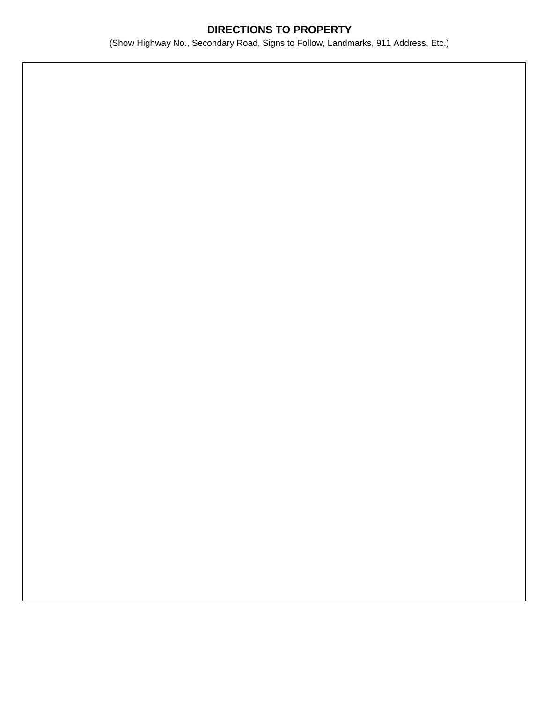### **DIRECTIONS TO PROPERTY**

(Show Highway No., Secondary Road, Signs to Follow, Landmarks, 911 Address, Etc.)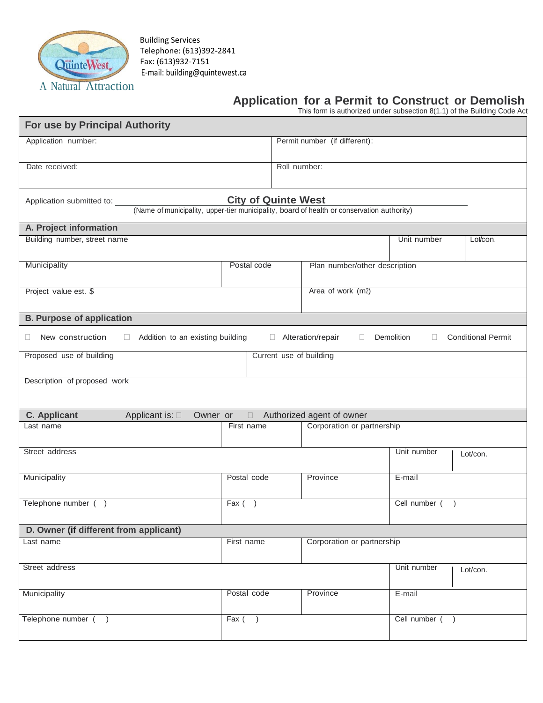

Building Services Telephone: (613)392-2841 Fax: (613)932-7151 E-mail: building@quintewest.ca

# **Application for a Permit to Construct or Demolish**

This form is authorized under subsection 8(1.1) of the Building Code Act

| For use by Principal Authority                                                                                          |                            |              |                               |                  |                           |
|-------------------------------------------------------------------------------------------------------------------------|----------------------------|--------------|-------------------------------|------------------|---------------------------|
| Application number:                                                                                                     |                            |              | Permit number (if different): |                  |                           |
| Date received:                                                                                                          |                            | Roll number: |                               |                  |                           |
|                                                                                                                         | <b>City of Quinte West</b> |              |                               |                  |                           |
| Application submitted to:<br>(Name of municipality, upper-tier municipality, board of health or conservation authority) |                            |              |                               |                  |                           |
| A. Project information                                                                                                  |                            |              |                               |                  |                           |
| Building number, street name                                                                                            |                            |              |                               | Unit number      | Lot/con.                  |
| Municipality                                                                                                            | Postal code                |              | Plan number/other description |                  |                           |
| Project value est. \$                                                                                                   |                            |              | Area of work (m2)             |                  |                           |
| <b>B. Purpose of application</b>                                                                                        |                            |              |                               |                  |                           |
| New construction<br>Addition to an existing building<br>O<br>$\Box$                                                     |                            |              | Alteration/repair<br>$\Box$   | Demolition<br>П. | <b>Conditional Permit</b> |
| Proposed use of building                                                                                                |                            |              | Current use of building       |                  |                           |
| Description of proposed work                                                                                            |                            |              |                               |                  |                           |
| <b>C.</b> Applicant<br>Applicant is: $\square$<br>Owner or                                                              | $\Box$                     |              | Authorized agent of owner     |                  |                           |
| Last name                                                                                                               | First name                 |              | Corporation or partnership    |                  |                           |
| Street address                                                                                                          |                            |              |                               | Unit number      | Lot/con.                  |
| Municipality                                                                                                            | Postal code                |              | Province                      | E-mail           |                           |
| Telephone number ()                                                                                                     | $\overline{F}ax$ ( )       |              |                               | Cell number (    |                           |
| D. Owner (if different from applicant)                                                                                  |                            |              |                               |                  |                           |
| Last name                                                                                                               | First name                 |              | Corporation or partnership    |                  |                           |
| Street address                                                                                                          |                            |              |                               | Unit number      | Lot/con.                  |
| Municipality                                                                                                            | Postal code                |              | Province                      | E-mail           |                           |
| Telephone number ()                                                                                                     | $Fax$ (                    |              |                               | Cell number ()   |                           |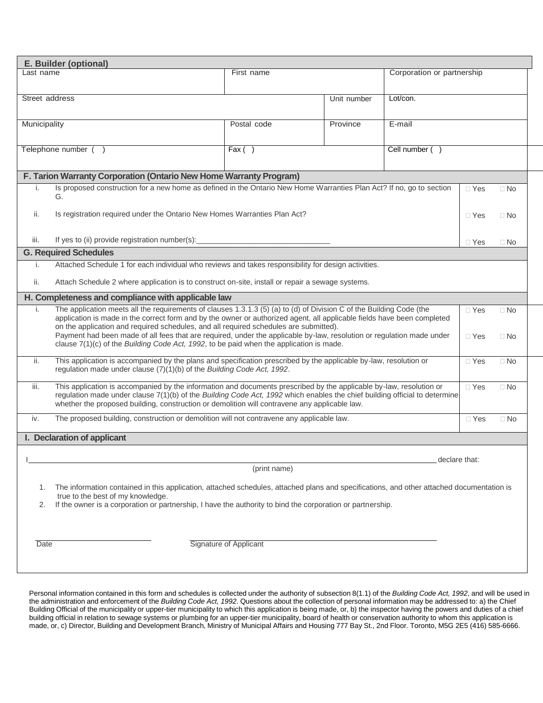|                               | E. Builder (optional)                                                                                                                                                                                                                                                                                                                              |                               |             |                            |            |           |
|-------------------------------|----------------------------------------------------------------------------------------------------------------------------------------------------------------------------------------------------------------------------------------------------------------------------------------------------------------------------------------------------|-------------------------------|-------------|----------------------------|------------|-----------|
|                               | Last name<br>First name                                                                                                                                                                                                                                                                                                                            |                               |             | Corporation or partnership |            |           |
|                               |                                                                                                                                                                                                                                                                                                                                                    |                               |             |                            |            |           |
| Street address                |                                                                                                                                                                                                                                                                                                                                                    |                               | Unit number | Lot/con.                   |            |           |
|                               |                                                                                                                                                                                                                                                                                                                                                    |                               |             |                            |            |           |
| Municipality                  |                                                                                                                                                                                                                                                                                                                                                    | Postal code                   | Province    | E-mail                     |            |           |
|                               |                                                                                                                                                                                                                                                                                                                                                    |                               |             |                            |            |           |
|                               | Telephone number ()                                                                                                                                                                                                                                                                                                                                | Fax()                         |             | Cell number (              |            |           |
|                               |                                                                                                                                                                                                                                                                                                                                                    |                               |             |                            |            |           |
|                               | F. Tarion Warranty Corporation (Ontario New Home Warranty Program)                                                                                                                                                                                                                                                                                 |                               |             |                            |            |           |
|                               | Is proposed construction for a new home as defined in the Ontario New Home Warranties Plan Act? If no, go to section<br>G.                                                                                                                                                                                                                         |                               |             |                            | $\Box$ Yes | $\Box$ No |
| Ш.                            | Is registration required under the Ontario New Homes Warranties Plan Act?                                                                                                                                                                                                                                                                          |                               |             |                            | $\Box$ Yes | $\Box$ No |
|                               |                                                                                                                                                                                                                                                                                                                                                    |                               |             |                            |            |           |
| iii.                          | If yes to (ii) provide registration number(s):                                                                                                                                                                                                                                                                                                     |                               |             |                            | $\Box$ Yes | $\Box$ No |
|                               | <b>G. Required Schedules</b><br>Attached Schedule 1 for each individual who reviews and takes responsibility for design activities.                                                                                                                                                                                                                |                               |             |                            |            |           |
|                               |                                                                                                                                                                                                                                                                                                                                                    |                               |             |                            |            |           |
| ii.                           | Attach Schedule 2 where application is to construct on-site, install or repair a sewage systems.                                                                                                                                                                                                                                                   |                               |             |                            |            |           |
|                               | H. Completeness and compliance with applicable law                                                                                                                                                                                                                                                                                                 |                               |             |                            |            |           |
|                               | The application meets all the requirements of clauses 1.3.1.3 (5) (a) to (d) of Division C of the Building Code (the<br>Τ.<br>application is made in the correct form and by the owner or authorized agent, all applicable fields have been completed<br>on the application and required schedules, and all required schedules are submitted).     |                               |             |                            | $\Box$ Yes | $\Box$ No |
|                               | Payment had been made of all fees that are required, under the applicable by-law, resolution or regulation made under<br>clause 7(1)(c) of the Building Code Act, 1992, to be paid when the application is made.                                                                                                                                   |                               |             |                            | $\Box$ Yes | $\Box$ No |
| ii.                           | This application is accompanied by the plans and specification prescribed by the applicable by-law, resolution or<br>regulation made under clause (7)(1)(b) of the Building Code Act, 1992.                                                                                                                                                        |                               |             |                            | $\Box$ Yes | $\Box$ No |
| iii.                          | This application is accompanied by the information and documents prescribed by the applicable by-law, resolution or<br>regulation made under clause 7(1)(b) of the Building Code Act, 1992 which enables the chief building official to determine<br>whether the proposed building, construction or demolition will contravene any applicable law. |                               |             |                            | $\Box$ Yes | $\Box$ No |
| iv.                           | The proposed building, construction or demolition will not contravene any applicable law.                                                                                                                                                                                                                                                          |                               |             |                            | $\Box$ Yes | $\Box$ No |
|                               | I. Declaration of applicant                                                                                                                                                                                                                                                                                                                        |                               |             |                            |            |           |
|                               |                                                                                                                                                                                                                                                                                                                                                    |                               |             |                            |            |           |
| declare that:<br>(print name) |                                                                                                                                                                                                                                                                                                                                                    |                               |             |                            |            |           |
|                               |                                                                                                                                                                                                                                                                                                                                                    |                               |             |                            |            |           |
|                               | The information contained in this application, attached schedules, attached plans and specifications, and other attached documentation is<br>1.<br>true to the best of my knowledge.                                                                                                                                                               |                               |             |                            |            |           |
| 2.                            | If the owner is a corporation or partnership, I have the authority to bind the corporation or partnership.                                                                                                                                                                                                                                         |                               |             |                            |            |           |
|                               |                                                                                                                                                                                                                                                                                                                                                    |                               |             |                            |            |           |
|                               |                                                                                                                                                                                                                                                                                                                                                    |                               |             |                            |            |           |
| Date                          |                                                                                                                                                                                                                                                                                                                                                    | <b>Signature of Applicant</b> |             |                            |            |           |
|                               |                                                                                                                                                                                                                                                                                                                                                    |                               |             |                            |            |           |
|                               |                                                                                                                                                                                                                                                                                                                                                    |                               |             |                            |            |           |

Personal information contained in this form and schedules is collected under the authority of subsection 8(1.1) of the *Building Code Act, 1992*, and will be used in the administration and enforcement of the *Building Code Act, 1992*. Questions about the collection of personal information may be addressed to: a) the Chief Building Official of the municipality or upper-tier municipality to which this application is being made, or, b) the inspector having the powers and duties of a chief building official in relation to sewage systems or plumbing for an upper-tier municipality, board of health or conservation authority to whom this application is made, or, c) Director, Building and Development Branch, Ministry of Municipal Affairs and Housing 777 Bay St., 2nd Floor. Toronto, M5G 2E5 (416) 585-6666.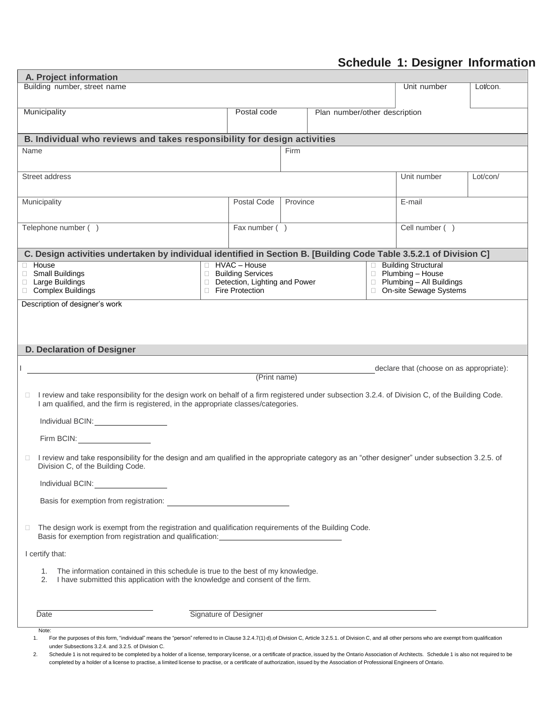# **Schedule 1: Designer Information**

| A. Project information                                                                                                                                                                                                                                                                                                                                                                                                                                                                                                                                                                                                                                                                    |                                        |                                                      |      |          |                               |             |                                                       |          |
|-------------------------------------------------------------------------------------------------------------------------------------------------------------------------------------------------------------------------------------------------------------------------------------------------------------------------------------------------------------------------------------------------------------------------------------------------------------------------------------------------------------------------------------------------------------------------------------------------------------------------------------------------------------------------------------------|----------------------------------------|------------------------------------------------------|------|----------|-------------------------------|-------------|-------------------------------------------------------|----------|
| Building number, street name                                                                                                                                                                                                                                                                                                                                                                                                                                                                                                                                                                                                                                                              |                                        |                                                      |      |          |                               | Unit number | Lot/con.                                              |          |
| Municipality<br>Postal code                                                                                                                                                                                                                                                                                                                                                                                                                                                                                                                                                                                                                                                               |                                        |                                                      |      |          | Plan number/other description |             |                                                       |          |
| B. Individual who reviews and takes responsibility for design activities                                                                                                                                                                                                                                                                                                                                                                                                                                                                                                                                                                                                                  |                                        |                                                      |      |          |                               |             |                                                       |          |
| Name                                                                                                                                                                                                                                                                                                                                                                                                                                                                                                                                                                                                                                                                                      |                                        |                                                      | Firm |          |                               |             |                                                       |          |
| Street address                                                                                                                                                                                                                                                                                                                                                                                                                                                                                                                                                                                                                                                                            |                                        |                                                      |      |          |                               |             | Unit number                                           | Lot/con/ |
| Municipality                                                                                                                                                                                                                                                                                                                                                                                                                                                                                                                                                                                                                                                                              | Postal Code                            |                                                      |      | Province |                               |             | E-mail                                                |          |
| Telephone number ()                                                                                                                                                                                                                                                                                                                                                                                                                                                                                                                                                                                                                                                                       |                                        | Fax number ()                                        |      |          |                               |             | Cell number ()                                        |          |
| C. Design activities undertaken by individual identified in Section B. [Building Code Table 3.5.2.1 of Division C]                                                                                                                                                                                                                                                                                                                                                                                                                                                                                                                                                                        |                                        |                                                      |      |          |                               |             |                                                       |          |
| <b>House</b>                                                                                                                                                                                                                                                                                                                                                                                                                                                                                                                                                                                                                                                                              |                                        | □ HVAC - House                                       |      |          |                               |             | □ Building Structural                                 |          |
| □ Small Buildings<br>□ Large Buildings                                                                                                                                                                                                                                                                                                                                                                                                                                                                                                                                                                                                                                                    |                                        | □ Building Services<br>Detection, Lighting and Power |      |          |                               |             | □ Plumbing - House<br>$\Box$ Plumbing - All Buildings |          |
| □ Complex Buildings                                                                                                                                                                                                                                                                                                                                                                                                                                                                                                                                                                                                                                                                       |                                        | Fire Protection                                      |      |          |                               |             | □ On-site Sewage Systems                              |          |
| Description of designer's work                                                                                                                                                                                                                                                                                                                                                                                                                                                                                                                                                                                                                                                            |                                        |                                                      |      |          |                               |             |                                                       |          |
|                                                                                                                                                                                                                                                                                                                                                                                                                                                                                                                                                                                                                                                                                           |                                        |                                                      |      |          |                               |             |                                                       |          |
| <b>D. Declaration of Designer</b>                                                                                                                                                                                                                                                                                                                                                                                                                                                                                                                                                                                                                                                         |                                        |                                                      |      |          |                               |             |                                                       |          |
|                                                                                                                                                                                                                                                                                                                                                                                                                                                                                                                                                                                                                                                                                           |                                        |                                                      |      |          |                               |             |                                                       |          |
|                                                                                                                                                                                                                                                                                                                                                                                                                                                                                                                                                                                                                                                                                           |                                        | (Print name)                                         |      |          |                               |             | declare that (choose on as appropriate):              |          |
| I review and take responsibility for the design work on behalf of a firm registered under subsection 3.2.4. of Division C, of the Building Code.<br>I am qualified, and the firm is registered, in the appropriate classes/categories.                                                                                                                                                                                                                                                                                                                                                                                                                                                    |                                        |                                                      |      |          |                               |             |                                                       |          |
| Individual BCIN: New York Contract of the United States and States and States and States and States and States                                                                                                                                                                                                                                                                                                                                                                                                                                                                                                                                                                            |                                        |                                                      |      |          |                               |             |                                                       |          |
| Firm BCIN: The contract of the contract of the contract of the contract of the contract of the contract of the contract of the contract of the contract of the contract of the contract of the contract of the contract of the                                                                                                                                                                                                                                                                                                                                                                                                                                                            |                                        |                                                      |      |          |                               |             |                                                       |          |
| I review and take responsibility for the design and am qualified in the appropriate category as an "other designer" under subsection 3.2.5. of<br>Division C, of the Building Code.                                                                                                                                                                                                                                                                                                                                                                                                                                                                                                       |                                        |                                                      |      |          |                               |             |                                                       |          |
| Individual BCIN: Note that the state of the state of the state of the state of the state of the state of the state of the state of the state of the state of the state of the state of the state of the state of the state of                                                                                                                                                                                                                                                                                                                                                                                                                                                             |                                        |                                                      |      |          |                               |             |                                                       |          |
|                                                                                                                                                                                                                                                                                                                                                                                                                                                                                                                                                                                                                                                                                           | Basis for exemption from registration: |                                                      |      |          |                               |             |                                                       |          |
| The design work is exempt from the registration and qualification requirements of the Building Code.<br>$\Box$<br>Basis for exemption from registration and qualification: _______________________                                                                                                                                                                                                                                                                                                                                                                                                                                                                                        |                                        |                                                      |      |          |                               |             |                                                       |          |
| I certify that:                                                                                                                                                                                                                                                                                                                                                                                                                                                                                                                                                                                                                                                                           |                                        |                                                      |      |          |                               |             |                                                       |          |
| The information contained in this schedule is true to the best of my knowledge.<br>1.<br>2.<br>I have submitted this application with the knowledge and consent of the firm.                                                                                                                                                                                                                                                                                                                                                                                                                                                                                                              |                                        |                                                      |      |          |                               |             |                                                       |          |
| Date                                                                                                                                                                                                                                                                                                                                                                                                                                                                                                                                                                                                                                                                                      |                                        | Signature of Designer                                |      |          |                               |             |                                                       |          |
| Note:<br>For the purposes of this form, "individual" means the "person" referred to in Clause 3.2.4.7(1) d).of Division C, Article 3.2.5.1. of Division C, and all other persons who are exempt from qualification<br>1.<br>under Subsections 3.2.4. and 3.2.5. of Division C.<br>Schedule 1 is not required to be completed by a holder of a license, temporary license, or a certificate of practice, issued by the Ontario Association of Architects. Schedule 1 is also not required to be<br>2.<br>completed by a holder of a license to practise, a limited license to practise, or a certificate of authorization, issued by the Association of Professional Engineers of Ontario. |                                        |                                                      |      |          |                               |             |                                                       |          |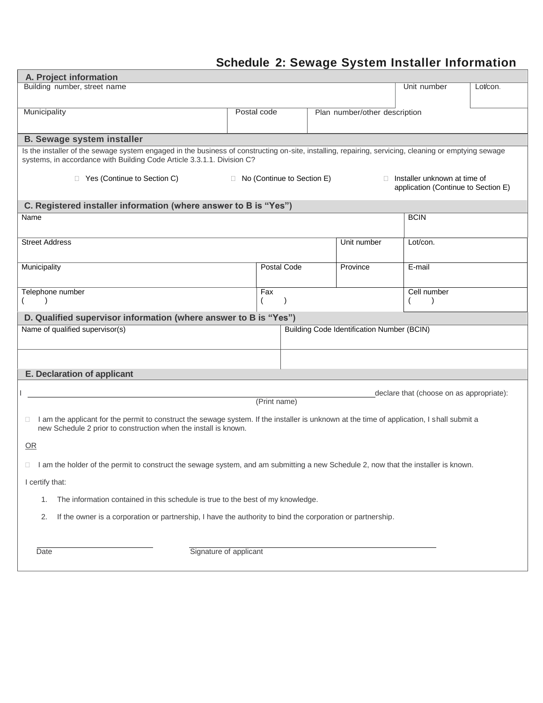# **Schedule 2: Sewage System Installer Information**

| A. Project information                                                                                                                                                                                                         |              |  |                               |                                                   |                                          |          |
|--------------------------------------------------------------------------------------------------------------------------------------------------------------------------------------------------------------------------------|--------------|--|-------------------------------|---------------------------------------------------|------------------------------------------|----------|
| Building number, street name                                                                                                                                                                                                   |              |  |                               |                                                   | Unit number                              | Lot/con. |
| Municipality                                                                                                                                                                                                                   | Postal code  |  |                               |                                                   |                                          |          |
|                                                                                                                                                                                                                                |              |  | Plan number/other description |                                                   |                                          |          |
| <b>B. Sewage system installer</b>                                                                                                                                                                                              |              |  |                               |                                                   |                                          |          |
| Is the installer of the sewage system engaged in the business of constructing on-site, installing, repairing, servicing, cleaning or emptying sewage<br>systems, in accordance with Building Code Article 3.3.1.1. Division C? |              |  |                               |                                                   |                                          |          |
| □ Yes (Continue to Section C)<br>□ No (Continue to Section E)<br>$\Box$ Installer unknown at time of<br>application (Continue to Section E)                                                                                    |              |  |                               |                                                   |                                          |          |
| C. Registered installer information (where answer to B is "Yes")                                                                                                                                                               |              |  |                               |                                                   |                                          |          |
| Name                                                                                                                                                                                                                           |              |  |                               |                                                   | <b>BCIN</b>                              |          |
| <b>Street Address</b>                                                                                                                                                                                                          |              |  |                               | Unit number                                       | Lot/con.                                 |          |
| Municipality                                                                                                                                                                                                                   | Postal Code  |  |                               | Province                                          | E-mail                                   |          |
| Telephone number                                                                                                                                                                                                               | Fax          |  |                               |                                                   | Cell number                              |          |
| (                                                                                                                                                                                                                              |              |  |                               |                                                   |                                          |          |
| D. Qualified supervisor information (where answer to B is "Yes")                                                                                                                                                               |              |  |                               |                                                   |                                          |          |
| Name of qualified supervisor(s)                                                                                                                                                                                                |              |  |                               | <b>Building Code Identification Number (BCIN)</b> |                                          |          |
|                                                                                                                                                                                                                                |              |  |                               |                                                   |                                          |          |
| E. Declaration of applicant                                                                                                                                                                                                    |              |  |                               |                                                   |                                          |          |
|                                                                                                                                                                                                                                |              |  |                               |                                                   | declare that (choose on as appropriate): |          |
|                                                                                                                                                                                                                                | (Print name) |  |                               |                                                   |                                          |          |
| I am the applicant for the permit to construct the sewage system. If the installer is unknown at the time of application, I shall submit a<br>Ω.<br>new Schedule 2 prior to construction when the install is known.            |              |  |                               |                                                   |                                          |          |
| OR                                                                                                                                                                                                                             |              |  |                               |                                                   |                                          |          |
| I am the holder of the permit to construct the sewage system, and am submitting a new Schedule 2, now that the installer is known.<br>$\Box$                                                                                   |              |  |                               |                                                   |                                          |          |
| I certify that:                                                                                                                                                                                                                |              |  |                               |                                                   |                                          |          |
| The information contained in this schedule is true to the best of my knowledge.<br>1.                                                                                                                                          |              |  |                               |                                                   |                                          |          |
| If the owner is a corporation or partnership, I have the authority to bind the corporation or partnership.<br>2.                                                                                                               |              |  |                               |                                                   |                                          |          |
| Signature of applicant<br>Date                                                                                                                                                                                                 |              |  |                               |                                                   |                                          |          |
|                                                                                                                                                                                                                                |              |  |                               |                                                   |                                          |          |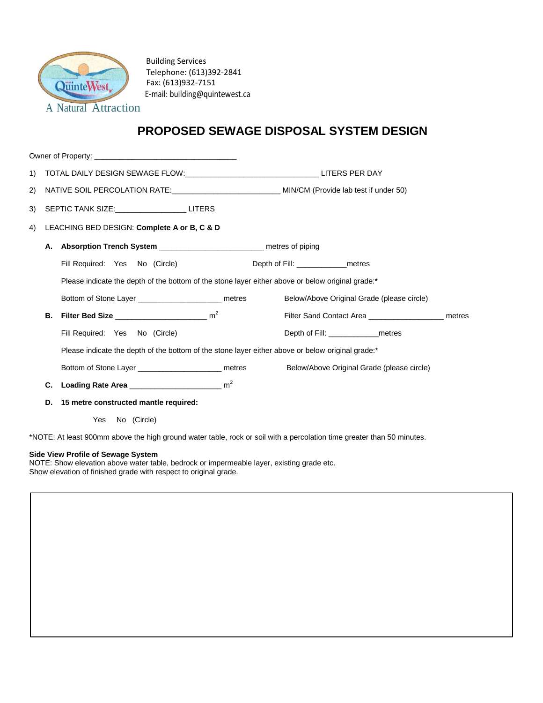

Building Services Telephone: (613)392-2841 Fax: (613)932-7151 E-mail: building@quintewest.ca

## **PROPOSED SEWAGE DISPOSAL SYSTEM DESIGN**

| 1) |    |                                                                                                                        |                                            |  |  |
|----|----|------------------------------------------------------------------------------------------------------------------------|--------------------------------------------|--|--|
| 2) |    | NATIVE SOIL PERCOLATION RATE: ___________________________________ MIN/CM (Provide lab test if under 50)                |                                            |  |  |
| 3) |    | SEPTIC TANK SIZE: LITERS                                                                                               |                                            |  |  |
| 4) |    | LEACHING BED DESIGN: Complete A or B, C & D                                                                            |                                            |  |  |
|    | А. | Absorption Trench System _______________________________ metres of piping                                              |                                            |  |  |
|    |    | Fill Required: Yes No (Circle)                                                                                         | Depth of Fill: _________________metres     |  |  |
|    |    | Please indicate the depth of the bottom of the stone layer either above or below original grade:*                      |                                            |  |  |
|    |    | Bottom of Stone Layer ___________________________ metres                                                               | Below/Above Original Grade (please circle) |  |  |
|    | В. | Filter Bed Size $\frac{1}{2}$ m <sup>2</sup>                                                                           | Filter Sand Contact Area                   |  |  |
|    |    | Fill Required: Yes No (Circle)                                                                                         | Depth of Fill: metres                      |  |  |
|    |    | Please indicate the depth of the bottom of the stone layer either above or below original grade:*                      |                                            |  |  |
|    |    | Bottom of Stone Layer ____________________________ metres                                                              | Below/Above Original Grade (please circle) |  |  |
|    | C. |                                                                                                                        |                                            |  |  |
|    | D. | 15 metre constructed mantle required:                                                                                  |                                            |  |  |
|    |    | Yes No (Circle)                                                                                                        |                                            |  |  |
|    |    | *NOTE: At least 900mm above the high ground water table, rock or soil with a percolation time greater than 50 minutes. |                                            |  |  |

**Side View Profile of Sewage System**

NOTE: Show elevation above water table, bedrock or impermeable layer, existing grade etc. Show elevation of finished grade with respect to original grade.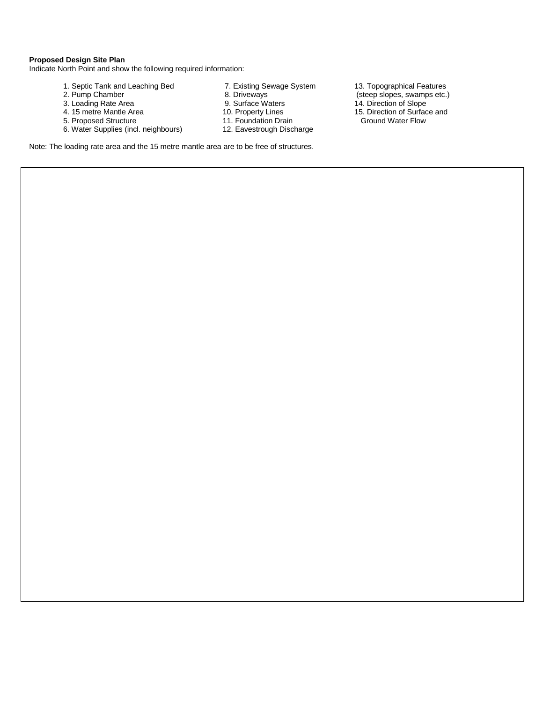### **Proposed Design Site Plan**

Indicate North Point and show the following required information:

- 
- 
- 
- 
- 
- 5. Proposed Structure 11. Foundation Drain<br>6. Water Supplies (incl. neighbours) 12. Eavestrough Discharge 6. Water Supplies (incl. neighbours)
- 
- 
- 
- -
	-
- 1. Septic Tank and Leaching Bed 7. Existing Sewage System 13. Topographical Features<br>2. Pump Chamber 2. Pump Chamber 2. Pump Chamber 2. Pump Chamber 2. Pump Chamber 2. Pump Chamber 8. Driveways (steep slopes, swamps etc.) 3. Loading Rate Area 9. Surface Waters 14. Direction of Slope 4. 15 metre Mantle Area 10. Property Lines 15. Direction of Surface and 5. Proposed Structure 11. Foundation Drain
	-

Note: The loading rate area and the 15 metre mantle area are to be free of structures.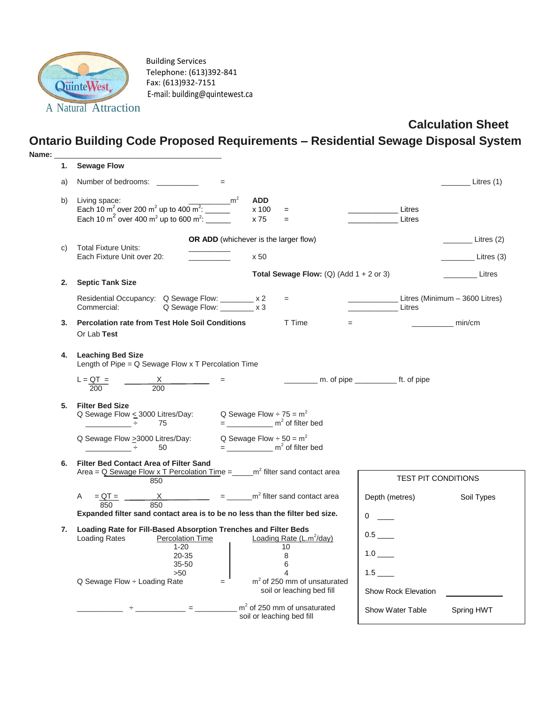

Building Services Telephone: (613)392-841 Fax: (613)932-7151 E-mail: building@quintewest.ca

# **Calculation Sheet**

# **Ontario Building Code Proposed Requirements – Residential Sewage Disposal System**

| Name: |                                                                                                                                                                                                                   |                                                                                               |                                                         |                                |
|-------|-------------------------------------------------------------------------------------------------------------------------------------------------------------------------------------------------------------------|-----------------------------------------------------------------------------------------------|---------------------------------------------------------|--------------------------------|
| 1.    | <b>Sewage Flow</b>                                                                                                                                                                                                |                                                                                               |                                                         |                                |
| a)    | Number of bedrooms: ___________<br>$=$                                                                                                                                                                            |                                                                                               |                                                         | Litres (1)                     |
| b)    | Living space: $\frac{1}{2}$<br>Each 10 m <sup>2</sup> over 200 m <sup>2</sup> up to 400 m <sup>2</sup> : $\frac{1}{2}$<br>Each 10 m <sup>2</sup> over 400 m <sup>2</sup> up to 600 m <sup>2</sup> : $\frac{1}{2}$ | <b>ADD</b><br>x 100<br>$\equiv$<br>x 75<br>$\equiv$                                           | Litres<br>Litres                                        |                                |
|       |                                                                                                                                                                                                                   |                                                                                               |                                                         |                                |
|       |                                                                                                                                                                                                                   | <b>OR ADD</b> (whichever is the larger flow)                                                  |                                                         | Litres (2)                     |
| C)    | <b>Total Fixture Units:</b><br>Each Fixture Unit over 20:                                                                                                                                                         | x 50                                                                                          |                                                         | Litres (3)                     |
|       |                                                                                                                                                                                                                   | <b>Total Sewage Flow:</b> (Q) (Add $1 + 2$ or 3)                                              |                                                         | Litres                         |
| 2.    | <b>Septic Tank Size</b>                                                                                                                                                                                           |                                                                                               |                                                         |                                |
|       | Residential Occupancy: Q Sewage Flow: ________ x 2<br>Q Sewage Flow: ________ x 3<br>Commercial:                                                                                                                  | $=$                                                                                           | Litres                                                  | Litres (Minimum - 3600 Litres) |
| 3.    | <b>Percolation rate from Test Hole Soil Conditions</b><br>Or Lab Test                                                                                                                                             | T Time                                                                                        | $=$                                                     | $\frac{1}{2}$ min/cm           |
|       | 4. Leaching Bed Size<br>Length of Pipe = $Q$ Sewage Flow x T Percolation Time                                                                                                                                     |                                                                                               |                                                         |                                |
|       | L = $\frac{QT}{200}$ =<br>$\frac{X}{200}$                                                                                                                                                                         |                                                                                               | _____________ m. of pipe __________________ ft. of pipe |                                |
| 5.    | <b>Filter Bed Size</b><br>Q Sewage Flow $\leq$ 3000 Litres/Day: Q Sewage Flow $\div$ 75 = m <sup>2</sup><br><u> 1999년 - 대한민국의 대</u><br>75                                                                         | $=$ ________________ m <sup>2</sup> of filter bed                                             |                                                         |                                |
|       | Q Sewage Flow > 3000 Litres/Day:<br>50<br>그 사람들은 사람들을 하고 있다.                                                                                                                                                      | Q Sewage Flow $\div$ 50 = m <sup>2</sup><br>$=$ ________________ m <sup>2</sup> of filter bed |                                                         |                                |
| 6.    | <b>Filter Bed Contact Area of Filter Sand</b>                                                                                                                                                                     |                                                                                               |                                                         |                                |
|       | Area = $Q$ Sewage Flow x T Percolation Time = $\text{m}^2$ filter sand contact area<br>850                                                                                                                        |                                                                                               | <b>TEST PIT CONDITIONS</b>                              |                                |
|       | A = $QT =$ $X$ = $m^2$ filter sand contact area<br>850<br>850                                                                                                                                                     |                                                                                               | Depth (metres)                                          | Soil Types                     |
|       | Expanded filter sand contact area is to be no less than the filter bed size.                                                                                                                                      |                                                                                               | 0                                                       |                                |
| 7.    | Loading Rate for Fill-Based Absorption Trenches and Filter Beds<br><b>Loading Rates</b><br>Percolation Time                                                                                                       | Loading Rate $(L.m^2/day)$                                                                    | 0.5                                                     |                                |
|       | $1 - 20$<br>20-35<br>35-50                                                                                                                                                                                        | 10<br>8<br>6                                                                                  |                                                         |                                |
|       | >50<br>Q Sewage Flow ÷ Loading Rate<br>$=$                                                                                                                                                                        | ◢<br>$m2$ of 250 mm of unsaturated                                                            | $1.5$ $\_\_$                                            |                                |
|       |                                                                                                                                                                                                                   | soil or leaching bed fill                                                                     | <b>Show Rock Elevation</b>                              |                                |
|       |                                                                                                                                                                                                                   |                                                                                               |                                                         |                                |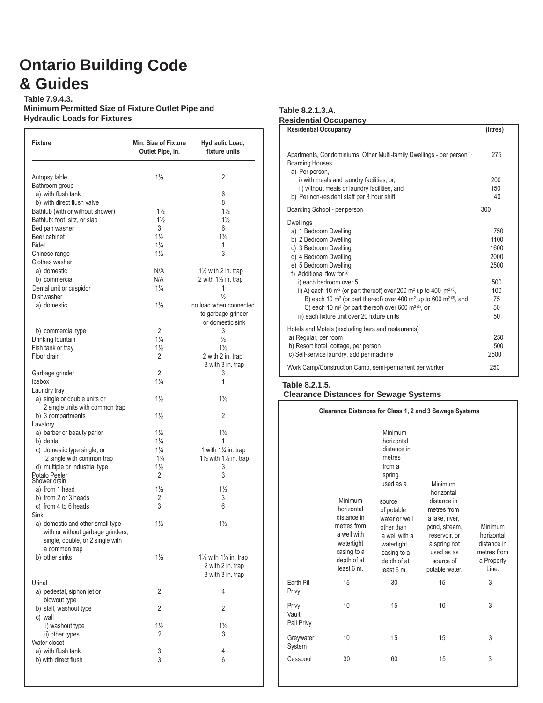# **Ontario Building Code & Guides**

**Table 7.9.4.3. Minimum Permitted Size of Fixture Outlet Pipe and Hydraulic Loads for Fixtures**

| <b>Fixture</b>                                                                                            | Min. Size of Fixture<br>Outlet Pipe, in. | Hydraulic Load,<br>fixture units                                  |
|-----------------------------------------------------------------------------------------------------------|------------------------------------------|-------------------------------------------------------------------|
| Autopsy table                                                                                             | $1\frac{1}{2}$                           | 2                                                                 |
| Bathroom group                                                                                            |                                          |                                                                   |
| a) with flush tank                                                                                        |                                          | 6                                                                 |
| b) with direct flush valve                                                                                |                                          | 8                                                                 |
| Bathtub (with or without shower)                                                                          | $1\frac{1}{2}$                           | $1\frac{1}{2}$                                                    |
| Bathtub: foot, sitz, or slab                                                                              | $1\frac{1}{2}$                           | $1\frac{1}{2}$                                                    |
| Bed pan washer                                                                                            | 3                                        | 6                                                                 |
| Beer cabinet                                                                                              | $1\frac{1}{2}$                           | $1\frac{1}{2}$                                                    |
| <b>Bidet</b>                                                                                              | $1\frac{1}{4}$                           | 1                                                                 |
| Chinese range                                                                                             | $1\frac{1}{2}$                           | 3                                                                 |
| Clothes washer                                                                                            |                                          |                                                                   |
|                                                                                                           | N/A                                      |                                                                   |
| a) domestic                                                                                               |                                          | 11/2 with 2 in. trap                                              |
| b) commercial                                                                                             | N/A                                      | 2 with $1\frac{1}{2}$ in. trap                                    |
| Dental unit or cuspidor                                                                                   | $1\frac{1}{4}$                           | 1                                                                 |
| Dishwasher                                                                                                |                                          | $\frac{1}{2}$                                                     |
| a) domestic                                                                                               | $1\frac{1}{2}$                           | no load when connected                                            |
|                                                                                                           |                                          | to garbage grinder                                                |
|                                                                                                           |                                          | or domestic sink                                                  |
| b) commercial type                                                                                        | $\overline{2}$                           | 3                                                                 |
| Drinking fountain                                                                                         | $1\frac{1}{4}$                           | $\frac{1}{2}$                                                     |
| Fish tank or tray                                                                                         | $1\frac{1}{2}$                           | $1\frac{1}{2}$                                                    |
| Floor drain                                                                                               | $\mathfrak{p}$                           | 2 with 2 in. trap                                                 |
|                                                                                                           |                                          | 3 with 3 in. trap                                                 |
| Garbage grinder                                                                                           | $\overline{2}$                           | 3                                                                 |
| Icebox                                                                                                    | $1\frac{1}{4}$                           | 1                                                                 |
| Laundry tray                                                                                              |                                          |                                                                   |
| a) single or double units or                                                                              | $1\frac{1}{2}$                           | $1\frac{1}{2}$                                                    |
| 2 single units with common trap                                                                           |                                          |                                                                   |
| b) 3 compartments                                                                                         | $1\frac{1}{2}$                           | $\overline{2}$                                                    |
| Lavatory                                                                                                  |                                          |                                                                   |
| a) barber or beauty parlor                                                                                | $1\frac{1}{2}$                           | $1\frac{1}{2}$                                                    |
| b) dental                                                                                                 | $1\frac{1}{4}$                           | 1                                                                 |
| c) domestic type single, or                                                                               | $1\frac{1}{4}$                           | 1 with $1\frac{1}{4}$ in. trap                                    |
| 2 single with common trap                                                                                 | $1\frac{1}{4}$                           | $1\frac{1}{2}$ with $1\frac{1}{2}$ in. trap                       |
| d) multiple or industrial type                                                                            | $1\frac{1}{2}$                           | 3                                                                 |
| Potato Peeler<br>Shower drain                                                                             | 2                                        | 3                                                                 |
|                                                                                                           |                                          |                                                                   |
| a) from 1 head                                                                                            | $1\frac{1}{2}$                           | $1\frac{1}{2}$                                                    |
| b) from 2 or 3 heads                                                                                      | 2                                        | 3                                                                 |
| c) from 4 to 6 heads                                                                                      | 3                                        | 6                                                                 |
| Sink                                                                                                      |                                          |                                                                   |
| a) domestic and other small type<br>with or without garbage grinders,<br>single, double, or 2 single with | $1\frac{1}{2}$                           | $1\frac{1}{2}$                                                    |
| a common trap<br>b) other sinks                                                                           | $1\frac{1}{2}$                           | 11/2 with 11/2 in. trap<br>2 with 2 in. trap<br>3 with 3 in. trap |
| Urinal                                                                                                    |                                          |                                                                   |
| a) pedestal, siphon jet or                                                                                | 2                                        | 4                                                                 |
| blowout type                                                                                              |                                          |                                                                   |
| b) stall, washout type                                                                                    | 2                                        | 2                                                                 |
| c) wall                                                                                                   |                                          |                                                                   |
| i) washout type                                                                                           | $1\frac{1}{2}$                           | $1\frac{1}{2}$                                                    |
| ii) other types                                                                                           | 2                                        | 3                                                                 |
|                                                                                                           |                                          |                                                                   |
|                                                                                                           |                                          |                                                                   |
| Water closet<br>a) with flush tank                                                                        | 3                                        | 4                                                                 |

#### **Table 8.2.1.3.A.**

| <b>Residential Occupancy</b>                                                                                                                                                                                                                                                                                                                                                                                                                                                                                                                           | (litres)                                                            |
|--------------------------------------------------------------------------------------------------------------------------------------------------------------------------------------------------------------------------------------------------------------------------------------------------------------------------------------------------------------------------------------------------------------------------------------------------------------------------------------------------------------------------------------------------------|---------------------------------------------------------------------|
| Apartments, Condominiums, Other Multi-family Dwellings - per person 1.<br><b>Boarding Houses</b><br>a) Per person,<br>i) with meals and laundry facilities, or,                                                                                                                                                                                                                                                                                                                                                                                        | 275<br>200                                                          |
| ii) without meals or laundry facilities, and<br>b) Per non-resident staff per 8 hour shift                                                                                                                                                                                                                                                                                                                                                                                                                                                             | 150<br>40                                                           |
| Boarding School - per person                                                                                                                                                                                                                                                                                                                                                                                                                                                                                                                           | 300                                                                 |
| Dwellings<br>a) 1 Bedroom Dwelling<br>b) 2 Bedroom Dwelling<br>c) 3 Bedroom Dwelling<br>d) 4 Bedroom Dwelling<br>e) 5 Bedroom Dwelling<br>f) Additional flow for <sup>(2)</sup><br>i) each bedroom over 5,<br>ii) A) each 10 m <sup>2</sup> (or part thereof) over 200 m <sup>2</sup> up to 400 m <sup>2 (3)</sup> ,<br>B) each 10 m <sup>2</sup> (or part thereof) over 400 m <sup>2</sup> up to 600 m <sup>2</sup> (3), and<br>C) each 10 $m^2$ (or part thereof) over 600 $m^2$ <sup>(3)</sup> , or<br>iii) each fixture unit over 20 fixture units | 750<br>1100<br>1600<br>2000<br>2500<br>500<br>100<br>75<br>50<br>50 |
| Hotels and Motels (excluding bars and restaurants)<br>a) Regular, per room<br>b) Resort hotel, cottage, per person<br>c) Self-service laundry, add per machine                                                                                                                                                                                                                                                                                                                                                                                         | 250<br>500<br>2500                                                  |
| Work Camp/Construction Camp, semi-permanent per worker                                                                                                                                                                                                                                                                                                                                                                                                                                                                                                 | 250                                                                 |

### **Table 8.2.1.5. Clearance Distances for Sewage Systems**

|                              |                                                                                                                             |                                                                                                                                                                                                                   | Clearance Distances for Class 1, 2 and 3 Sewage Systems                                                                                                              |                                                                            |
|------------------------------|-----------------------------------------------------------------------------------------------------------------------------|-------------------------------------------------------------------------------------------------------------------------------------------------------------------------------------------------------------------|----------------------------------------------------------------------------------------------------------------------------------------------------------------------|----------------------------------------------------------------------------|
|                              | Minimum<br>horizontal<br>distance in<br>metres from<br>a well with<br>watertight<br>casing to a<br>depth of at<br>least 6 m | Minimum<br>horizontal<br>distance in<br>metres<br>from a<br>spring<br>used as a<br>source<br>of potable<br>water or well<br>other than<br>a well with a<br>watertight<br>casing to a<br>depth of at<br>least 6 m. | Minimum<br>horizontal<br>distance in<br>metres from<br>a lake, river,<br>pond, stream,<br>reservoir, or<br>a spring not<br>used as as<br>source of<br>potable water. | Minimum<br>horizontal<br>distance in<br>metres from<br>a Property<br>Line. |
| Farth Pit<br>Privy           | 15                                                                                                                          | 30                                                                                                                                                                                                                | 15                                                                                                                                                                   | 3                                                                          |
| Privy<br>Vault<br>Pail Privy | 10                                                                                                                          | 15                                                                                                                                                                                                                | 10                                                                                                                                                                   | 3                                                                          |
| Greywater<br>System          | 10                                                                                                                          | 15                                                                                                                                                                                                                | 15                                                                                                                                                                   | 3                                                                          |
| Cesspool                     | 30                                                                                                                          | 60                                                                                                                                                                                                                | 15                                                                                                                                                                   | 3                                                                          |
|                              |                                                                                                                             |                                                                                                                                                                                                                   |                                                                                                                                                                      |                                                                            |